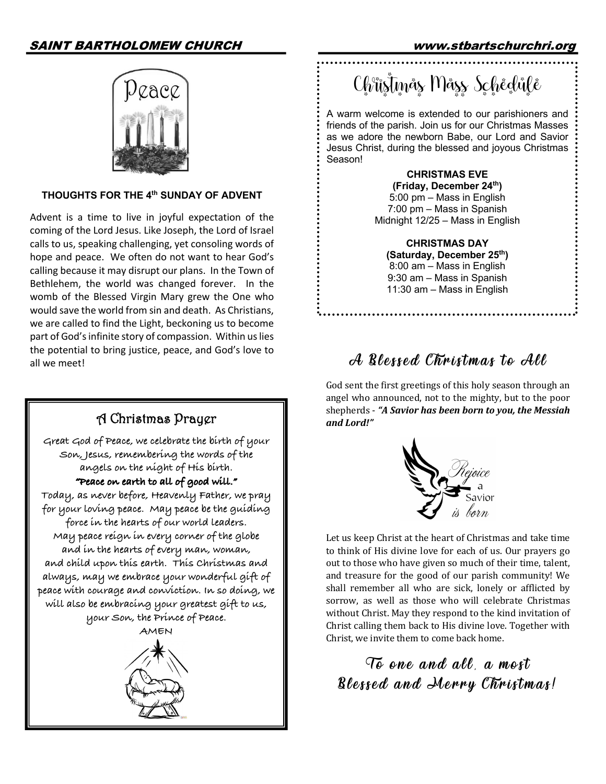# SAINT BARTHOLOMEW CHURCH www.stbartschurchri.org



#### **THOUGHTS FOR THE 4th SUNDAY OF ADVENT**

Advent is a time to live in joyful expectation of the coming of the Lord Jesus. Like Joseph, the Lord of Israel calls to us, speaking challenging, yet consoling words of hope and peace. We often do not want to hear God's calling because it may disrupt our plans. In the Town of Bethlehem, the world was changed forever. In the womb of the Blessed Virgin Mary grew the One who would save the world from sin and death. As Christians, we are called to find the Light, beckoning us to become part of God's infinite story of compassion. Within us lies the potential to bring justice, peace, and God's love to all we meet!  $\partial$  all we meet!



Ch<sup>e</sup>ŭstmås Måss Schedule

A warm welcome is extended to our parishioners and friends of the parish. Join us for our Christmas Masses as we adore the newborn Babe, our Lord and Savior Jesus Christ, during the blessed and joyous Christmas Season!

> **CHRISTMAS EVE (Friday, December 24th)** 5:00 pm – Mass in English 7:00 pm – Mass in Spanish Midnight 12/25 – Mass in English

**CHRISTMAS DAY (Saturday, December 25th)** 8:00 am – Mass in English 9:30 am – Mass in Spanish 11:30 am – Mass in English

God sent the first greetings of this holy season through an angel who announced, not to the mighty, but to the poor shepherds - "A Savior has been born to you, the Messiah *and Lord!"*



Let us keep Christ at the heart of Christmas and take time to think of His divine love for each of us. Our prayers go out to those who have given so much of their time, talent, and treasure for the good of our parish community! We shall remember all who are sick, lonely or afflicted by sorrow, as well as those who will celebrate Christmas without Christ. May they respond to the kind invitation of Christ calling them back to His divine love. Together with Christ, we invite them to come back home.

To one and all, a most Blessed and Merry Christmas!